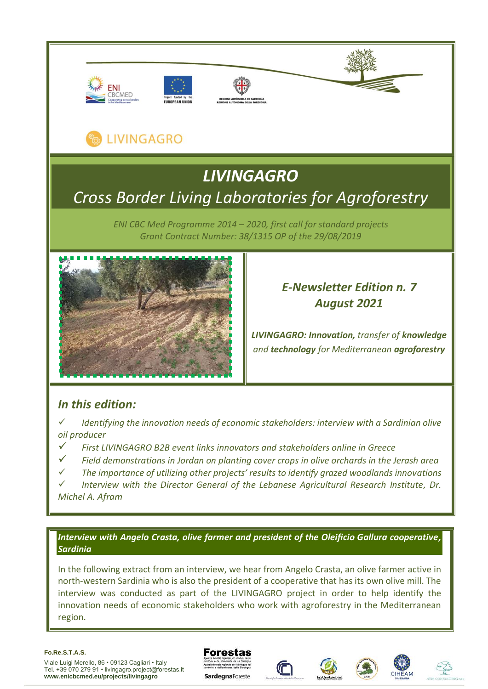







# **LIVINGAGRO**

# *LIVINGAGRO Cross Border Living Laboratories for Agroforestry*

*ENI CBC Med Programme 2014 – 2020, first call for standard projects Grant Contract Number: 38/1315 OP of the 29/08/2019*



## *E-Newsletter Edition n. 7 August 2021*

*LIVINGAGRO: Innovation, transfer of knowledge and technology for Mediterranean agroforestry*

## *In this edition:*

*Identifying the innovation needs of economic stakeholders: interview with a Sardinian olive oil producer*

- ✓ *First LIVINGAGRO B2B event links innovators and stakeholders online in Greece*
- ✓ *Field demonstrations in Jordan on planting cover crops in olive orchards in the Jerash area*
- ✓ *The importance of utilizing other projects' results to identify grazed woodlands innovations*

✓ *Interview with the Director General of the Lebanese Agricultural Research Institute, Dr. Michel A. Afram*

### *Interview with Angelo Crasta, olive farmer and president of the Oleificio Gallura cooperative, Sardinia*

In the following extract from an interview, we hear from Angelo Crasta, an olive farmer active in north-western Sardinia who is also the president of a cooperative that has its own olive mill. The interview was conducted as part of the LIVINGAGRO project in order to help identify the innovation needs of economic stakeholders who work with agroforestry in the Mediterranean region.

#### **Fo.Re.S.T.A.S.**

Viale Luigi Merello, 86 • 09123 Cagliari • Italy Tel. +39 070 279 91 • livingagro.project@forestas.it **www.enicbcmed.eu/projects/livingagro**



**SardegnaForeste** 







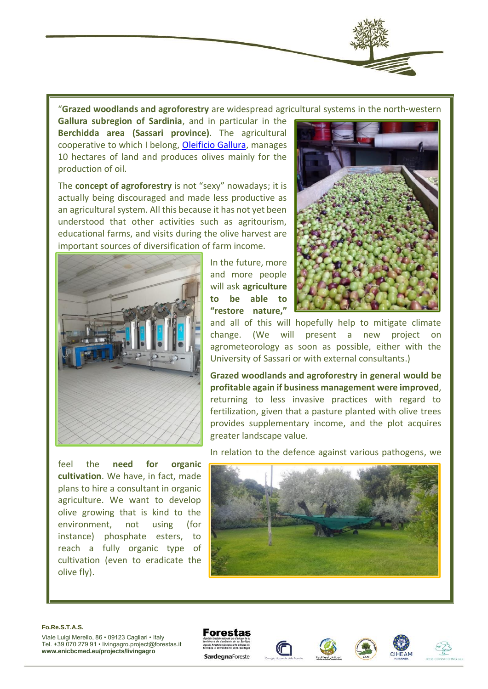

"**Grazed woodlands and agroforestry** are widespread agricultural systems in the north-western

**Gallura subregion of Sardinia**, and in particular in the **Berchidda area (Sassari province)**. The agricultural cooperative to which I belong, [Oleificio Gallura,](https://www.oleificiogallura.it/) manages 10 hectares of land and produces olives mainly for the production of oil.

The **concept of agroforestry** is not "sexy" nowadays; it is actually being discouraged and made less productive as an agricultural system. All this because it has not yet been understood that other activities such as agritourism, educational farms, and visits during the olive harvest are important sources of diversification of farm income.



feel the **need for organic cultivation**. We have, in fact, made plans to hire a consultant in organic agriculture. We want to develop olive growing that is kind to the environment, not using (for instance) phosphate esters, to reach a fully organic type of cultivation (even to eradicate the olive fly).

In the future, more and more people will ask **agriculture to be able to "restore nature,"**



and all of this will hopefully help to mitigate climate change. (We will present a new project on agrometeorology as soon as possible, either with the University of Sassari or with external consultants.)

**Grazed woodlands and agroforestry in general would be profitable again if business management were improved**, returning to less invasive practices with regard to fertilization, given that a pasture planted with olive trees provides supplementary income, and the plot acquires greater landscape value.

In relation to the defence against various pathogens, we



#### **Fo.Re.S.T.A.S.**









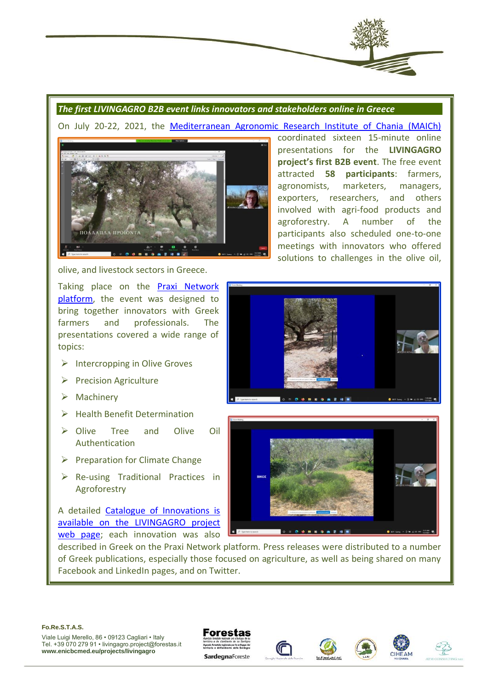

#### *The first LIVINGAGRO B2B event links innovators and stakeholders online in Greece*

On July 20-22, 2021, the [Mediterranean Agronomic Research Institute of Chania \(MAICh\)](https://www.iamc.ciheam.org/)



olive, and livestock sectors in Greece.

Taking place on the [Praxi Network](https://praxinetwork.gr/)  [platform,](https://praxinetwork.gr/) the event was designed to bring together innovators with Greek farmers and professionals. The presentations covered a wide range of topics:

- $\triangleright$  Intercropping in Olive Groves
- ➢ Precision Agriculture
- ➢ Machinery
- ➢ Health Benefit Determination
- ➢ Olive Tree and Olive Oil Authentication
- $\triangleright$  Preparation for Climate Change
- ➢ Re-using Traditional Practices in Agroforestry

A detailed [Catalogue of Innovations is](https://www.enicbcmed.eu/livingagro-innovations-catalogue-greek-b2b-meetings)  [available on the LIVINGAGRO project](https://www.enicbcmed.eu/livingagro-innovations-catalogue-greek-b2b-meetings)  [web page;](https://www.enicbcmed.eu/livingagro-innovations-catalogue-greek-b2b-meetings) each innovation was also

described in Greek on the Praxi Network platform. Press releases were distributed to a number of Greek publications, especially those focused on agriculture, as well as being shared on many Facebook and LinkedIn pages, and on Twitter.





**Fo.Re.S.T.A.S.**

Viale Luigi Merello, 86 • 09123 Cagliari • Italy Tel. +39 070 279 91 • livingagro.project@forestas.it **www.enicbcmed.eu/projects/livingagro**

**Forestas** SardegnaForeste





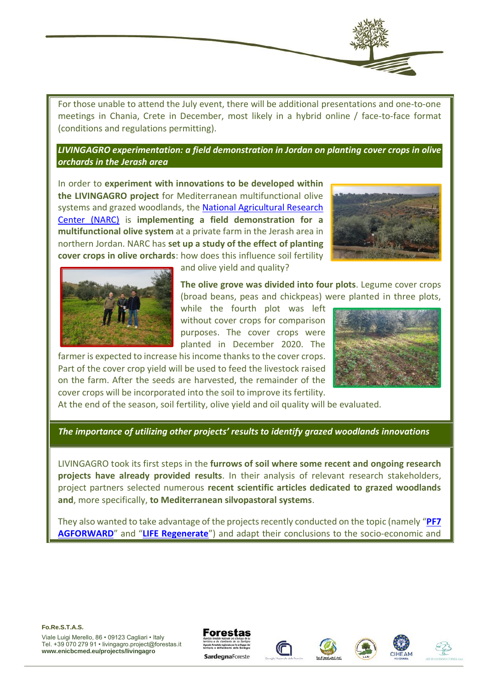

For those unable to attend the July event, there will be additional presentations and one-to-one meetings in Chania, Crete in December, most likely in a hybrid online / face-to-face format (conditions and regulations permitting).

*LIVINGAGRO experimentation: a field demonstration in Jordan on planting cover crops in olive orchards in the Jerash area*

In order to **experiment with innovations to be developed within the LIVINGAGRO project** for Mediterranean multifunctional olive systems and grazed woodlands, the [National Agricultural Research](http://www.ncare.gov.jo/DefaultEN.aspx)  [Center \(NARC\)](http://www.ncare.gov.jo/DefaultEN.aspx) is **implementing a field demonstration for a multifunctional olive system** at a private farm in the Jerash area in northern Jordan. NARC has **set up a study of the effect of planting cover crops in olive orchards**: how does this influence soil fertility





and olive yield and quality?

**The olive grove was divided into four plots**. Legume cover crops (broad beans, peas and chickpeas) were planted in three plots,

while the fourth plot was left without cover crops for comparison purposes. The cover crops were planted in December 2020. The

farmer is expected to increase his income thanks to the cover crops. Part of the cover crop yield will be used to feed the livestock raised on the farm. After the seeds are harvested, the remainder of the cover crops will be incorporated into the soil to improve its fertility.



At the end of the season, soil fertility, olive yield and oil quality will be evaluated.

*The importance of utilizing other projects' results to identify grazed woodlands innovations*

LIVINGAGRO took its first steps in the **furrows of soil where some recent and ongoing research projects have already provided results**. In their analysis of relevant research stakeholders, project partners selected numerous **recent scientific articles dedicated to grazed woodlands and**, more specifically, **to Mediterranean silvopastoral systems**.

They also wanted to take advantage of the projects recently conducted on the topic (namely "**[PF7](https://www.agforward.eu/)  [AGFORWARD](https://www.agforward.eu/)**" and "**[LIFE Regenerate](https://regenerate.eu/)**") and adapt their conclusions to the socio-economic and









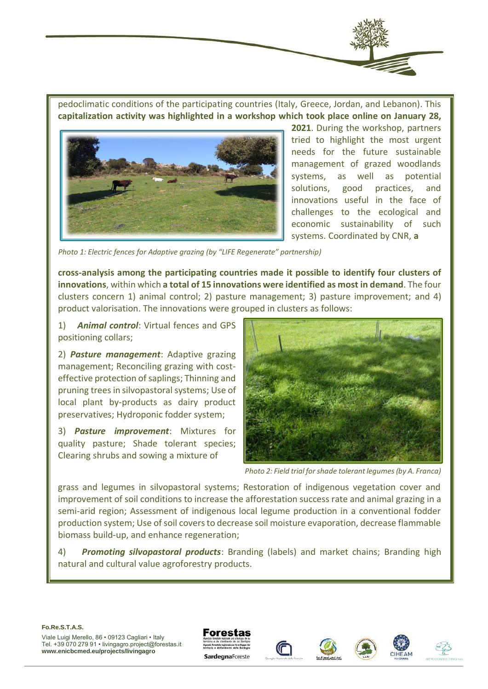

pedoclimatic conditions of the participating countries (Italy, Greece, Jordan, and Lebanon). This **capitalization activity was highlighted in a workshop which took place online on January 28,** 



**2021**. During the workshop, partners tried to highlight the most urgent needs for the future sustainable management of grazed woodlands systems, as well as potential solutions, good practices, and innovations useful in the face of challenges to the ecological and economic sustainability of such systems. Coordinated by CNR, **a**

 *Photo 1: Electric fences for Adaptive grazing (by "LIFE Regenerate" partnership)*

**cross-analysis among the participating countries made it possible to identify four clusters of innovations**, within which **a total of 15 innovations were identified as most in demand**. The four clusters concern 1) animal control; 2) pasture management; 3) pasture improvement; and 4) product valorisation. The innovations were grouped in clusters as follows:

1) *Animal control*: Virtual fences and GPS positioning collars;

2) *Pasture management*: Adaptive grazing management; Reconciling grazing with costeffective protection of saplings; Thinning and pruning trees in silvopastoral systems; Use of local plant by-products as dairy product preservatives; Hydroponic fodder system;

3) *Pasture improvement*: Mixtures for quality pasture; Shade tolerant species; Clearing shrubs and sowing a mixture of



 *Photo 2: Field trial for shade tolerant legumes (by A. Franca)*

grass and legumes in silvopastoral systems; Restoration of indigenous vegetation cover and improvement of soil conditions to increase the afforestation success rate and animal grazing in a semi-arid region; Assessment of indigenous local legume production in a conventional fodder production system; Use of soil covers to decrease soil moisture evaporation, decrease flammable biomass build-up, and enhance regeneration;

4) *Promoting silvopastoral products*: Branding (labels) and market chains; Branding high natural and cultural value agroforestry products.

#### **Fo.Re.S.T.A.S.**







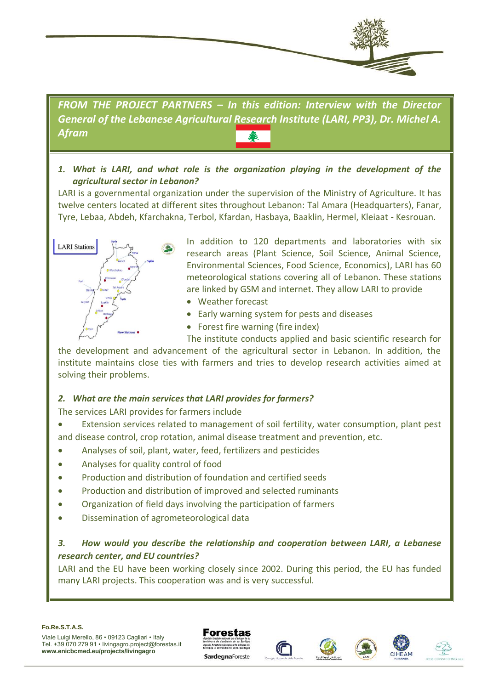

*FROM THE PROJECT PARTNERS – In this edition: Interview with the Director General of the Lebanese Agricultural Research Institute (LARI, PP3), Dr. Michel A. Afram*

*1. What is LARI, and what role is the organization playing in the development of the agricultural sector in Lebanon?* 

LARI is a governmental organization under the supervision of the Ministry of Agriculture. It has twelve centers located at different sites throughout Lebanon: Tal Amara (Headquarters), Fanar, Tyre, Lebaa, Abdeh, Kfarchakna, Terbol, Kfardan, Hasbaya, Baaklin, Hermel, Kleiaat - Kesrouan.



In addition to 120 departments and laboratories with six research areas (Plant Science, Soil Science, Animal Science, Environmental Sciences, Food Science, Economics), LARI has 60 meteorological stations covering all of Lebanon. These stations are linked by GSM and internet. They allow LARI to provide

- Weather forecast
- Early warning system for pests and diseases
- Forest fire warning (fire index)

The institute conducts applied and basic scientific research for the development and advancement of the agricultural sector in Lebanon. In addition, the institute maintains close ties with farmers and tries to develop research activities aimed at solving their problems.

### *2. What are the main services that LARI provides for farmers?*

The services LARI provides for farmers include

- Extension services related to management of soil fertility, water consumption, plant pest and disease control, crop rotation, animal disease treatment and prevention, etc.
- Analyses of soil, plant, water, feed, fertilizers and pesticides
- Analyses for quality control of food
- Production and distribution of foundation and certified seeds
- Production and distribution of improved and selected ruminants
- Organization of field days involving the participation of farmers
- Dissemination of agrometeorological data

## *3. How would you describe the relationship and cooperation between LARI, a Lebanese research center, and EU countries?*

LARI and the EU have been working closely since 2002. During this period, the EU has funded many LARI projects. This cooperation was and is very successful.







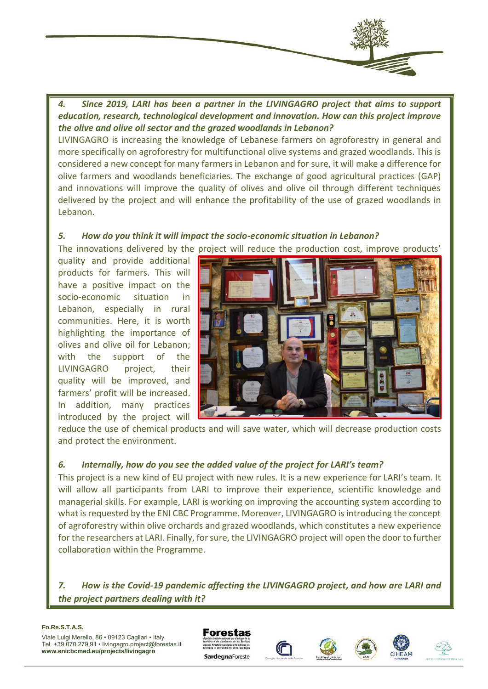*4. Since 2019, LARI has been a partner in the LIVINGAGRO project that aims to support education, research, technological development and innovation. How can this project improve the olive and olive oil sector and the grazed woodlands in Lebanon?* 

LIVINGAGRO is increasing the knowledge of Lebanese farmers on agroforestry in general and more specifically on agroforestry for multifunctional olive systems and grazed woodlands. This is considered a new concept for many farmers in Lebanon and for sure, it will make a difference for olive farmers and woodlands beneficiaries. The exchange of good agricultural practices (GAP) and innovations will improve the quality of olives and olive oil through different techniques delivered by the project and will enhance the profitability of the use of grazed woodlands in Lebanon.

#### *5. How do you think it will impact the socio-economic situation in Lebanon?*

The innovations delivered by the project will reduce the production cost, improve products'

quality and provide additional products for farmers. This will have a positive impact on the socio-economic situation in Lebanon, especially in rural communities. Here, it is worth highlighting the importance of olives and olive oil for Lebanon; with the support of the LIVINGAGRO project, their quality will be improved, and farmers' profit will be increased. In addition, many practices introduced by the project will



reduce the use of chemical products and will save water, which will decrease production costs and protect the environment.

### 6. Internally, how do you see the added value of the project for LARI's team?

This project is a new kind of EU project with new rules. It is a new experience for LARI's team. It will allow all participants from LARI to improve their experience, scientific knowledge and managerial skills. For example, LARI is working on improving the accounting system according to what is requested by the ENI CBC Programme. Moreover, LIVINGAGRO is introducing the concept of agroforestry within olive orchards and grazed woodlands, which constitutes a new experience for the researchers at LARI. Finally, for sure, the LIVINGAGRO project will open the door to further collaboration within the Programme.

*7. How is the Covid-19 pandemic affecting the LIVINGAGRO project, and how are LARI and the project partners dealing with it?* 

#### **Fo.Re.S.T.A.S.**







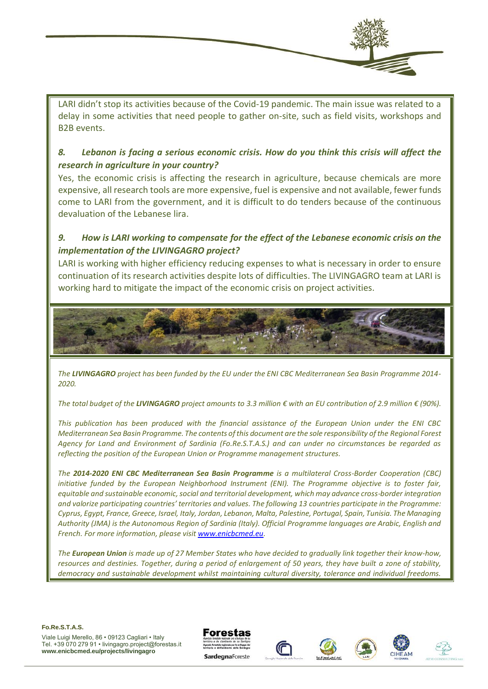

LARI didn't stop its activities because of the Covid-19 pandemic. The main issue was related to a delay in some activities that need people to gather on-site, such as field visits, workshops and B2B events.

### *8. Lebanon is facing a serious economic crisis. How do you think this crisis will affect the research in agriculture in your country?*

Yes, the economic crisis is affecting the research in agriculture, because chemicals are more expensive, all research tools are more expensive, fuel is expensive and not available, fewer funds come to LARI from the government, and it is difficult to do tenders because of the continuous devaluation of the Lebanese lira.

## *9. How is LARI working to compensate for the effect of the Lebanese economic crisis on the implementation of the LIVINGAGRO project?*

LARI is working with higher efficiency reducing expenses to what is necessary in order to ensure continuation of its research activities despite lots of difficulties. The LIVINGAGRO team at LARI is working hard to mitigate the impact of the economic crisis on project activities.



*The LIVINGAGRO project has been funded by the EU under the ENI CBC Mediterranean Sea Basin Programme 2014- 2020.* 

*The total budget of the LIVINGAGRO project amounts to 3.3 million € with an EU contribution of 2.9 million € (90%).*

*This publication has been produced with the financial assistance of the European Union under the ENI CBC Mediterranean Sea Basin Programme. The contents of this document are the sole responsibility of the Regional Forest Agency for Land and Environment of Sardinia (Fo.Re.S.T.A.S.) and can under no circumstances be regarded as reflecting the position of the European Union or Programme management structures.*

*The 2014-2020 ENI CBC Mediterranean Sea Basin Programme is a multilateral Cross-Border Cooperation (CBC) initiative funded by the European Neighborhood Instrument (ENI). The Programme objective is to foster fair, equitable and sustainable economic, social and territorial development, which may advance cross-border integration and valorize participating countries' territories and values. The following 13 countries participate in the Programme: Cyprus, Egypt, France, Greece, Israel, Italy, Jordan, Lebanon, Malta, Palestine, Portugal, Spain, Tunisia. The Managing Authority (JMA) is the Autonomous Region of Sardinia (Italy). Official Programme languages are Arabic, English and French. For more information, please visi[t www.enicbcmed.eu.](http://www.enicbcmed.eu/)* 

*The European Union is made up of 27 Member States who have decided to gradually link together their know-how, resources and destinies. Together, during a period of enlargement of 50 years, they have built a zone of stability, democracy and sustainable development whilst maintaining cultural diversity, tolerance and individual freedoms.* 

**Fo.Re.S.T.A.S.**